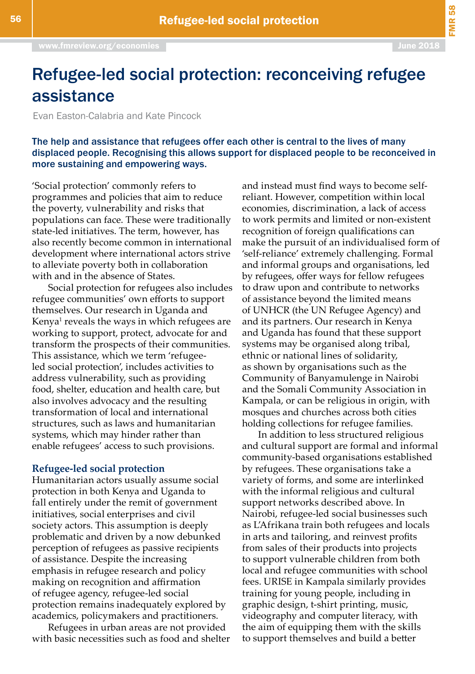FMR 58

# Refugee-led social protection: reconceiving refugee assistance

Evan Easton-Calabria and Kate Pincock

The help and assistance that refugees offer each other is central to the lives of many displaced people. Recognising this allows support for displaced people to be reconceived in more sustaining and empowering ways.

'Social protection' commonly refers to programmes and policies that aim to reduce the poverty, vulnerability and risks that populations can face. These were traditionally state-led initiatives. The term, however, has also recently become common in international development where international actors strive to alleviate poverty both in collaboration with and in the absence of States.

Social protection for refugees also includes refugee communities' own efforts to support themselves. Our research in Uganda and Kenya<sup>1</sup> reveals the ways in which refugees are working to support, protect, advocate for and transform the prospects of their communities. This assistance, which we term 'refugeeled social protection', includes activities to address vulnerability, such as providing food, shelter, education and health care, but also involves advocacy and the resulting transformation of local and international structures, such as laws and humanitarian systems, which may hinder rather than enable refugees' access to such provisions.

#### **Refugee-led social protection**

Humanitarian actors usually assume social protection in both Kenya and Uganda to fall entirely under the remit of government initiatives, social enterprises and civil society actors. This assumption is deeply problematic and driven by a now debunked perception of refugees as passive recipients of assistance. Despite the increasing emphasis in refugee research and policy making on recognition and affirmation of refugee agency, refugee-led social protection remains inadequately explored by academics, policymakers and practitioners.

Refugees in urban areas are not provided with basic necessities such as food and shelter and instead must find ways to become selfreliant. However, competition within local economies, discrimination, a lack of access to work permits and limited or non-existent recognition of foreign qualifications can make the pursuit of an individualised form of 'self-reliance' extremely challenging. Formal and informal groups and organisations, led by refugees, offer ways for fellow refugees to draw upon and contribute to networks of assistance beyond the limited means of UNHCR (the UN Refugee Agency) and and its partners. Our research in Kenya and Uganda has found that these support systems may be organised along tribal, ethnic or national lines of solidarity, as shown by organisations such as the Community of Banyamulenge in Nairobi and the Somali Community Association in Kampala, or can be religious in origin, with mosques and churches across both cities holding collections for refugee families.

In addition to less structured religious and cultural support are formal and informal community-based organisations established by refugees. These organisations take a variety of forms, and some are interlinked with the informal religious and cultural support networks described above. In Nairobi, refugee-led social businesses such as L'Afrikana train both refugees and locals in arts and tailoring, and reinvest profits from sales of their products into projects to support vulnerable children from both local and refugee communities with school fees. URISE in Kampala similarly provides training for young people, including in graphic design, t-shirt printing, music, videography and computer literacy, with the aim of equipping them with the skills to support themselves and build a better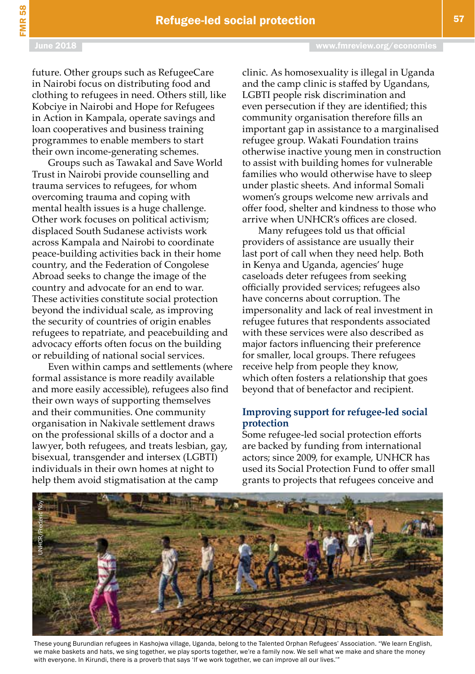future. Other groups such as RefugeeCare in Nairobi focus on distributing food and clothing to refugees in need. Others still, like Kobciye in Nairobi and Hope for Refugees in Action in Kampala, operate savings and loan cooperatives and business training programmes to enable members to start their own income-generating schemes.

Groups such as Tawakal and Save World Trust in Nairobi provide counselling and trauma services to refugees, for whom overcoming trauma and coping with mental health issues is a huge challenge. Other work focuses on political activism; displaced South Sudanese activists work across Kampala and Nairobi to coordinate peace-building activities back in their home country, and the Federation of Congolese Abroad seeks to change the image of the country and advocate for an end to war. These activities constitute social protection beyond the individual scale, as improving the security of countries of origin enables refugees to repatriate, and peacebuilding and advocacy efforts often focus on the building or rebuilding of national social services.

Even within camps and settlements (where formal assistance is more readily available and more easily accessible), refugees also find their own ways of supporting themselves and their communities. One community organisation in Nakivale settlement draws on the professional skills of a doctor and a lawyer, both refugees, and treats lesbian, gay, bisexual, transgender and intersex (LGBTI) individuals in their own homes at night to help them avoid stigmatisation at the camp

clinic. As homosexuality is illegal in Uganda and the camp clinic is staffed by Ugandans, LGBTI people risk discrimination and even persecution if they are identified; this community organisation therefore fills an important gap in assistance to a marginalised refugee group. Wakati Foundation trains otherwise inactive young men in construction to assist with building homes for vulnerable families who would otherwise have to sleep under plastic sheets. And informal Somali women's groups welcome new arrivals and offer food, shelter and kindness to those who arrive when UNHCR's offices are closed.

Many refugees told us that official providers of assistance are usually their last port of call when they need help. Both in Kenya and Uganda, agencies' huge caseloads deter refugees from seeking officially provided services; refugees also have concerns about corruption. The impersonality and lack of real investment in refugee futures that respondents associated with these services were also described as major factors influencing their preference for smaller, local groups. There refugees receive help from people they know, which often fosters a relationship that goes beyond that of benefactor and recipient.

# **Improving support for refugee-led social protection**

Some refugee-led social protection efforts are backed by funding from international actors; since 2009, for example, UNHCR has used its Social Protection Fund to offer small grants to projects that refugees conceive and



These young Burundian refugees in Kashojwa village, Uganda, belong to the Talented Orphan Refugees' Association. "We learn English, we make baskets and hats, we sing together, we play sports together, we're a family now. We sell what we make and share the money with everyone. In Kirundi, there is a proverb that says 'If we work together, we can improve all our lives.'"